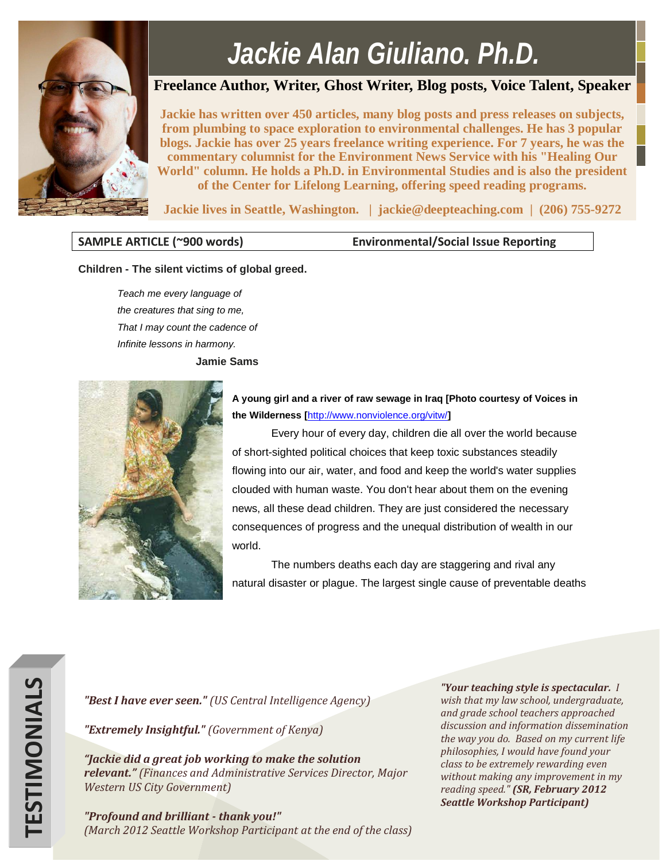

## *Jackie Alan Giuliano, Ph.D.*

## **Freelance Author, Writer, Ghost Writer, Blog posts, Voice Talent, Speaker**

**Jackie has written over 450 articles, many blog posts and press releases on subjects, from plumbing to space exploration to environmental challenges. He has 3 popular blogs. Jackie has over 25 years freelance writing experience. For 7 years, he was the commentary columnist for the Environment News Service with his "Healing Our World" column. He holds a Ph.D. in Environmental Studies and is also the president of the Center for Lifelong Learning, offering speed reading programs.** 

**Jackie lives in Seattle, Washington. | jackie@deepteaching.com | (206) 755-9272**

**SAMPLE ARTICLE (~900 words) Environmental/Social Issue Reporting**

## **Children - The silent victims of global greed.**

*Teach me every language of the creatures that sing to me, That I may count the cadence of Infinite lessons in harmony.* **Jamie Sams**



**A young girl and a river of raw sewage in Iraq [Photo courtesy of Voices in the Wilderness [**<http://www.nonviolence.org/vitw/>**]**

Every hour of every day, children die all over the world because of short-sighted political choices that keep toxic substances steadily flowing into our air, water, and food and keep the world's water supplies clouded with human waste. You don't hear about them on the evening news, all these dead children. They are just considered the necessary consequences of progress and the unequal distribution of wealth in our world.

The numbers deaths each day are staggering and rival any natural disaster or plague. The largest single cause of preventable deaths

*"Best I have ever seen." (US Central Intelligence Agency)*

*"Extremely Insightful." (Government of Kenya)*

*"Jackie did a great job working to make the solution relevant." (Finances and Administrative Services Director, Major Western US City Government)*

*"Profound and brilliant - thank you!" (March 2012 Seattle Workshop Participant at the end of the class)*

*"Your teaching style is spectacular. I wish that my law school, undergraduate, and grade school teachers approached discussion and information dissemination the way you do. Based on my current life philosophies, I would have found your class to be extremely rewarding even without making any improvement in my reading speed." (SR, February 2012 Seattle Workshop Participant)*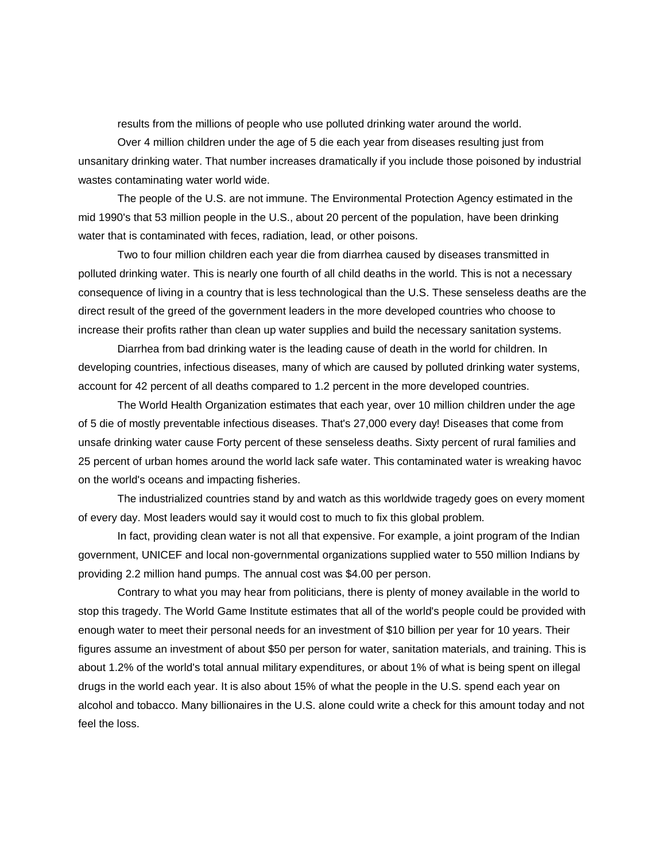results from the millions of people who use polluted drinking water around the world.

Over 4 million children under the age of 5 die each year from diseases resulting just from unsanitary drinking water. That number increases dramatically if you include those poisoned by industrial wastes contaminating water world wide.

The people of the U.S. are not immune. The Environmental Protection Agency estimated in the mid 1990's that 53 million people in the U.S., about 20 percent of the population, have been drinking water that is contaminated with feces, radiation, lead, or other poisons.

Two to four million children each year die from diarrhea caused by diseases transmitted in polluted drinking water. This is nearly one fourth of all child deaths in the world. This is not a necessary consequence of living in a country that is less technological than the U.S. These senseless deaths are the direct result of the greed of the government leaders in the more developed countries who choose to increase their profits rather than clean up water supplies and build the necessary sanitation systems.

Diarrhea from bad drinking water is the leading cause of death in the world for children. In developing countries, infectious diseases, many of which are caused by polluted drinking water systems, account for 42 percent of all deaths compared to 1.2 percent in the more developed countries.

The World Health Organization estimates that each year, over 10 million children under the age of 5 die of mostly preventable infectious diseases. That's 27,000 every day! Diseases that come from unsafe drinking water cause Forty percent of these senseless deaths. Sixty percent of rural families and 25 percent of urban homes around the world lack safe water. This contaminated water is wreaking havoc on the world's oceans and impacting fisheries.

The industrialized countries stand by and watch as this worldwide tragedy goes on every moment of every day. Most leaders would say it would cost to much to fix this global problem.

In fact, providing clean water is not all that expensive. For example, a joint program of the Indian government, UNICEF and local non-governmental organizations supplied water to 550 million Indians by providing 2.2 million hand pumps. The annual cost was \$4.00 per person.

Contrary to what you may hear from politicians, there is plenty of money available in the world to stop this tragedy. The World Game Institute estimates that all of the world's people could be provided with enough water to meet their personal needs for an investment of \$10 billion per year for 10 years. Their figures assume an investment of about \$50 per person for water, sanitation materials, and training. This is about 1.2% of the world's total annual military expenditures, or about 1% of what is being spent on illegal drugs in the world each year. It is also about 15% of what the people in the U.S. spend each year on alcohol and tobacco. Many billionaires in the U.S. alone could write a check for this amount today and not feel the loss.